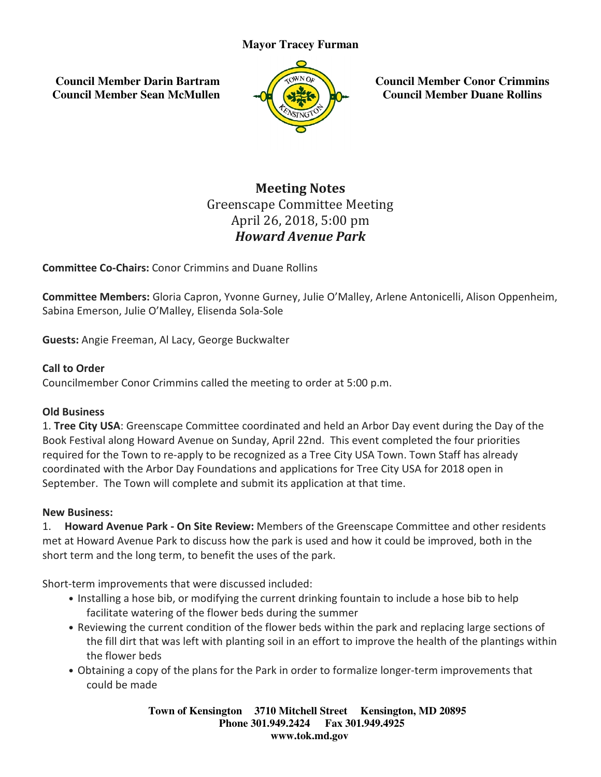## **Mayor Tracey Furman**

 **Council Member Darin Bartram Council Member Sean McMullen**



**Council Member Conor Crimmins Council Member Duane Rollins**

# Greenscape Committee Meeting Committee MeetingApril 26, 2018, 5:00 pm Meeting Notes Howard Avenue Park

Committee Co-Chairs: Conor Crimmins and Duane Rollins

**Committee Members:** Gloria Capron, Yvonne Gurney, Julie O'Malley, Arlene Antonicelli, Alison Oppenheim,<br>Sabina Emerson, Julie O'Malley, Elisenda Sola-Sole Sabina Emerson, Julie O'Malley, Elisenda Sola

Guests: Angie Freeman, Al Lacy, George Buckwalter

### Call to Order

**Guests:** Angie Freeman, Al Lacy, George Buckwalter<br>**Call to Order**<br>Councilmember Conor Crimmins called the meeting to order at 5:00 p.m.

### Old Business

1. **Tree City USA**: Greenscape Committee coordinated and held an Arbor Day event during the Day of the<br>Book Festival along Howard Avenue on Sunday, April 22nd. This event completed the four priorities Book Festival along Howard Avenue on Sunday, April 22nd. required for the Town to re-apply to be recognized as a Tree City USA Town. Town Staff has already coordinated with the Arbor Day Foundations and applications for Tree City USA for 2018 open in September. The Town will complete and submit its application at that time. coordinated with the Arbor Day Foundations and applications for Tree City USA for 2018 open in<br>September. The Town will complete and submit its application at that time.<br>**New Business:**<br>1. **Howard Avenue Park - On Site Council Member<br>
Council Member<br>
Council Member<br>
ing<br>
ing<br>
Sime Antonicelli,<br>
Sime Antonicelli,<br>
City USA for 2018<br>
it time.<br>
ape Committee an<br>
it could be improve<br>
in to include a hose<br>
park and replacing<br>
rove the health** 

### New Business:

met at Howard Avenue Park to discuss how the park is used and how it could be improved, bo short term and the long term, to benefit the uses of the park. Avenue Park to discuss how the park is used and how it could be improved, bothort term and the long term, to benefit the uses of the park.<br>
Short-term improvements that were discussed included:<br>
• Installing a hose bib, or Members of the Greenscape Committee and other residents<br>he park is used and how it could be improved, both in the

Short-term improvements that were discussed included:

- Installing a hose bib, or modifying the current drinking fountain to include a hose bib to help facilitate watering of the flower beds during the summer
- Reviewing the current condition of the flower beds within the park and replacing large sections of eviewing the current condition of the flower beds within the park and replacing large sections of<br>the fill dirt that was left with planting soil in an effort to improve the health of the plantings within the flower beds
- Obtaining a copy of the plans for the Park in order to formalize longer-term improvements that could be made

**Town of Kensington Kensington 3710 Mitchell Street Kensington, MD 20895 Phone 301.949.2424 301.949.2424 Fax 301.949.4925 www.tok.md.gov**